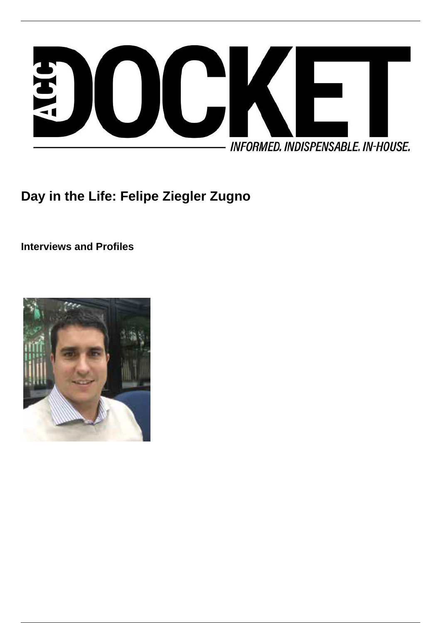

**Day in the Life: Felipe Ziegler Zugno**

**Interviews and Profiles**

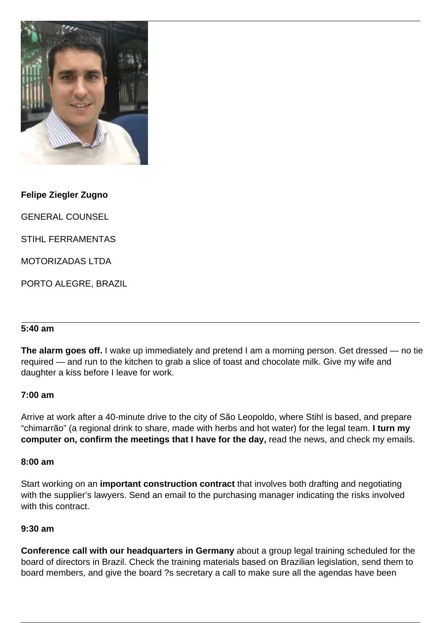

**Felipe Ziegler Zugno**

GENERAL COUNSEL

STIHL FERRAMENTAS

MOTORIZADAS LTDA

PORTO ALEGRE, BRAZIL

# **5:40 am**

**The alarm goes off.** I wake up immediately and pretend I am a morning person. Get dressed — no tie required — and run to the kitchen to grab a slice of toast and chocolate milk. Give my wife and daughter a kiss before I leave for work.

#### **7:00 am**

Arrive at work after a 40-minute drive to the city of São Leopoldo, where Stihl is based, and prepare "chimarrão" (a regional drink to share, made with herbs and hot water) for the legal team. **I turn my computer on, confirm the meetings that I have for the day,** read the news, and check my emails.

#### **8:00 am**

Start working on an **important construction contract** that involves both drafting and negotiating with the supplier's lawyers. Send an email to the purchasing manager indicating the risks involved with this contract.

#### **9:30 am**

**Conference call with our headquarters in Germany** about a group legal training scheduled for the board of directors in Brazil. Check the training materials based on Brazilian legislation, send them to board members, and give the board ?s secretary a call to make sure all the agendas have been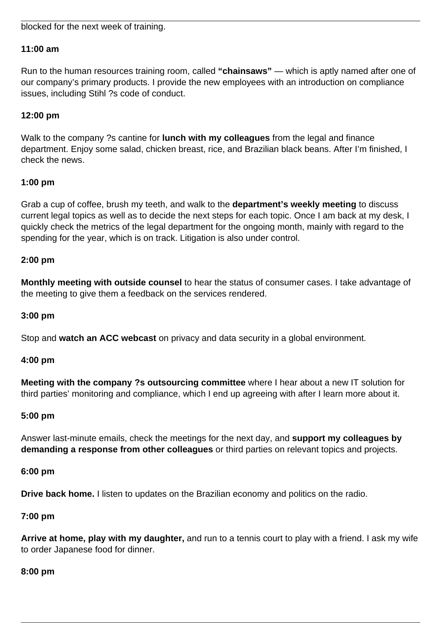## blocked for the next week of training.

## **11:00 am**

Run to the human resources training room, called **"chainsaws"** — which is aptly named after one of our company's primary products. I provide the new employees with an introduction on compliance issues, including Stihl ?s code of conduct.

## **12:00 pm**

Walk to the company ?s cantine for **lunch with my colleagues** from the legal and finance department. Enjoy some salad, chicken breast, rice, and Brazilian black beans. After I'm finished, I check the news.

#### **1:00 pm**

Grab a cup of coffee, brush my teeth, and walk to the **department's weekly meeting** to discuss current legal topics as well as to decide the next steps for each topic. Once I am back at my desk, I quickly check the metrics of the legal department for the ongoing month, mainly with regard to the spending for the year, which is on track. Litigation is also under control.

#### **2:00 pm**

**Monthly meeting with outside counsel** to hear the status of consumer cases. I take advantage of the meeting to give them a feedback on the services rendered.

### **3:00 pm**

Stop and **watch an ACC webcast** on privacy and data security in a global environment.

#### **4:00 pm**

**Meeting with the company ?s outsourcing committee** where I hear about a new IT solution for third parties' monitoring and compliance, which I end up agreeing with after I learn more about it.

#### **5:00 pm**

Answer last-minute emails, check the meetings for the next day, and **support my colleagues by demanding a response from other colleagues** or third parties on relevant topics and projects.

#### **6:00 pm**

**Drive back home.** I listen to updates on the Brazilian economy and politics on the radio.

#### **7:00 pm**

**Arrive at home, play with my daughter,** and run to a tennis court to play with a friend. I ask my wife to order Japanese food for dinner.

#### **8:00 pm**